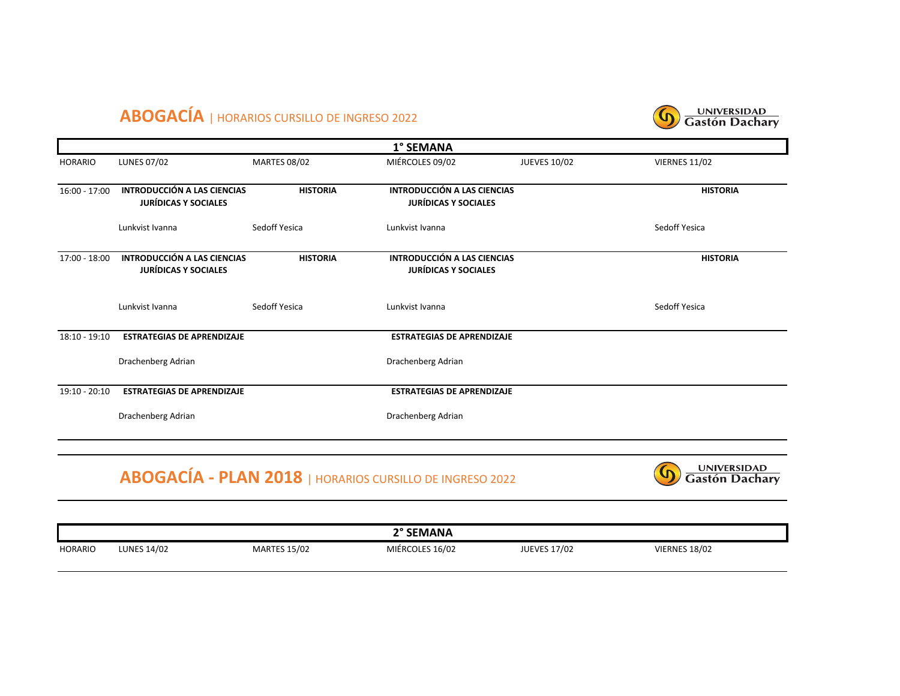## **ABOGACÍA** | HORARIOS CURSILLO DE INGRESO 2022



| 1° SEMANA       |                                                                   |                     |                                                                   |                     |                                      |  |
|-----------------|-------------------------------------------------------------------|---------------------|-------------------------------------------------------------------|---------------------|--------------------------------------|--|
| <b>HORARIO</b>  | <b>LUNES 07/02</b>                                                | <b>MARTES 08/02</b> | MIÉRCOLES 09/02                                                   | <b>JUEVES 10/02</b> | <b>VIERNES 11/02</b>                 |  |
| $16:00 - 17:00$ | <b>INTRODUCCIÓN A LAS CIENCIAS</b><br><b>JURÍDICAS Y SOCIALES</b> | <b>HISTORIA</b>     | <b>INTRODUCCIÓN A LAS CIENCIAS</b><br><b>JURÍDICAS Y SOCIALES</b> |                     | <b>HISTORIA</b>                      |  |
|                 | Lunkvist Ivanna                                                   | Sedoff Yesica       | Lunkvist Ivanna                                                   |                     | Sedoff Yesica                        |  |
| 17:00 - 18:00   | <b>INTRODUCCIÓN A LAS CIENCIAS</b><br><b>JURÍDICAS Y SOCIALES</b> | <b>HISTORIA</b>     | <b>INTRODUCCIÓN A LAS CIENCIAS</b><br><b>JURÍDICAS Y SOCIALES</b> |                     | <b>HISTORIA</b>                      |  |
|                 | Lunkvist Ivanna                                                   | Sedoff Yesica       | Lunkvist Ivanna                                                   |                     | Sedoff Yesica                        |  |
| $18:10 - 19:10$ | <b>ESTRATEGIAS DE APRENDIZAJE</b>                                 |                     | <b>ESTRATEGIAS DE APRENDIZAJE</b>                                 |                     |                                      |  |
|                 | Drachenberg Adrian                                                |                     | Drachenberg Adrian                                                |                     |                                      |  |
| $19:10 - 20:10$ | <b>ESTRATEGIAS DE APRENDIZAJE</b>                                 |                     | <b>ESTRATEGIAS DE APRENDIZAJE</b>                                 |                     |                                      |  |
|                 | Drachenberg Adrian                                                |                     | Drachenberg Adrian                                                |                     |                                      |  |
|                 |                                                                   |                     | <b>ABOGACÍA - PLAN 2018   HORARIOS CURSILLO DE INGRESO 2022</b>   |                     | <b>UNIVERSIDAD</b><br>Gastón Dachary |  |

|                |                    |                     | 2° SEMANA       |                     |                      |  |
|----------------|--------------------|---------------------|-----------------|---------------------|----------------------|--|
| <b>HORARIO</b> | <b>LUNES 14/02</b> | <b>MARTES 15/02</b> | MIÉRCOLES 16/02 | <b>JUEVES 17/02</b> | <b>VIERNES 18/02</b> |  |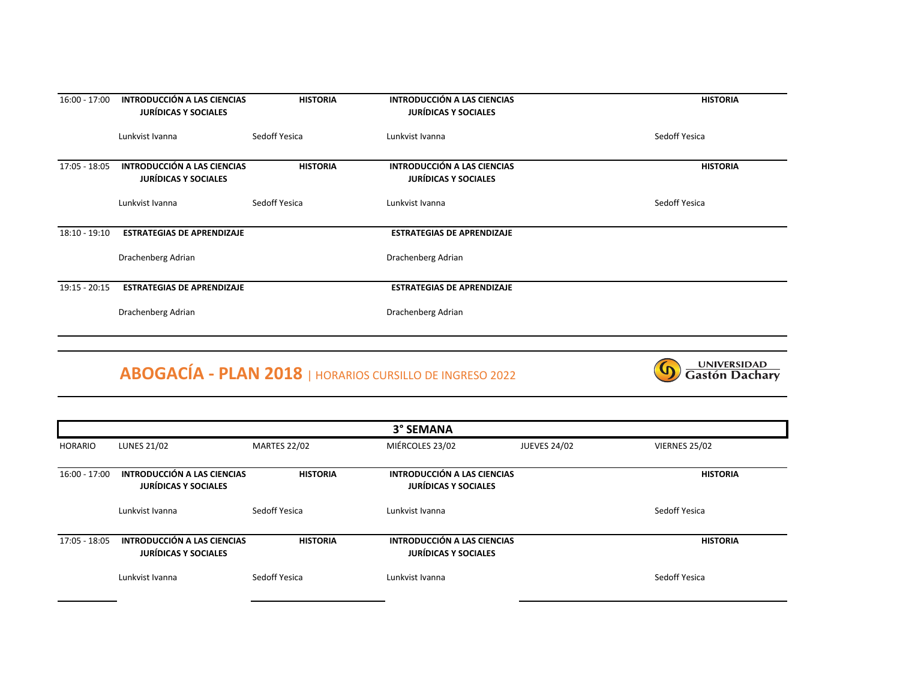| $16:00 - 17:00$ | INTRODUCCIÓN A LAS CIENCIAS<br><b>JURÍDICAS Y SOCIALES</b> | <b>HISTORIA</b> | INTRODUCCIÓN A LAS CIENCIAS<br><b>JURÍDICAS Y SOCIALES</b> | <b>HISTORIA</b> |
|-----------------|------------------------------------------------------------|-----------------|------------------------------------------------------------|-----------------|
|                 | Lunkvist Ivanna                                            | Sedoff Yesica   | Lunkvist Ivanna                                            | Sedoff Yesica   |
| $17:05 - 18:05$ | INTRODUCCIÓN A LAS CIENCIAS<br><b>JURÍDICAS Y SOCIALES</b> | <b>HISTORIA</b> | INTRODUCCIÓN A LAS CIENCIAS<br><b>JURÍDICAS Y SOCIALES</b> | <b>HISTORIA</b> |
|                 | Lunkvist Ivanna                                            | Sedoff Yesica   | Lunkvist Ivanna                                            | Sedoff Yesica   |
| $18:10 - 19:10$ | <b>ESTRATEGIAS DE APRENDIZAJE</b>                          |                 | <b>ESTRATEGIAS DE APRENDIZAJE</b>                          |                 |
|                 | Drachenberg Adrian                                         |                 | Drachenberg Adrian                                         |                 |
| $19:15 - 20:15$ | <b>ESTRATEGIAS DE APRENDIZAJE</b>                          |                 | <b>ESTRATEGIAS DE APRENDIZAJE</b>                          |                 |
|                 | Drachenberg Adrian                                         |                 | Drachenberg Adrian                                         |                 |
|                 |                                                            |                 |                                                            |                 |

## **ABOGACÍA - PLAN 2018** | HORARIOS CURSILLO DE INGRESO 2022



| 3° SEMANA       |                                                            |                     |                                                            |                     |                      |  |
|-----------------|------------------------------------------------------------|---------------------|------------------------------------------------------------|---------------------|----------------------|--|
| <b>HORARIO</b>  | <b>LUNES 21/02</b>                                         | <b>MARTES 22/02</b> | MIÉRCOLES 23/02                                            | <b>JUEVES 24/02</b> | <b>VIERNES 25/02</b> |  |
| $16:00 - 17:00$ | INTRODUCCIÓN A LAS CIENCIAS<br><b>JURÍDICAS Y SOCIALES</b> | <b>HISTORIA</b>     | INTRODUCCIÓN A LAS CIENCIAS<br><b>JURÍDICAS Y SOCIALES</b> |                     | <b>HISTORIA</b>      |  |
|                 | Lunkvist Ivanna                                            | Sedoff Yesica       | Lunkvist Ivanna                                            |                     | Sedoff Yesica        |  |
| 17:05 - 18:05   | INTRODUCCIÓN A LAS CIENCIAS<br><b>JURÍDICAS Y SOCIALES</b> | <b>HISTORIA</b>     | INTRODUCCIÓN A LAS CIENCIAS<br><b>JURÍDICAS Y SOCIALES</b> |                     | <b>HISTORIA</b>      |  |
|                 | Lunkvist Ivanna                                            | Sedoff Yesica       | Lunkvist Ivanna                                            |                     | Sedoff Yesica        |  |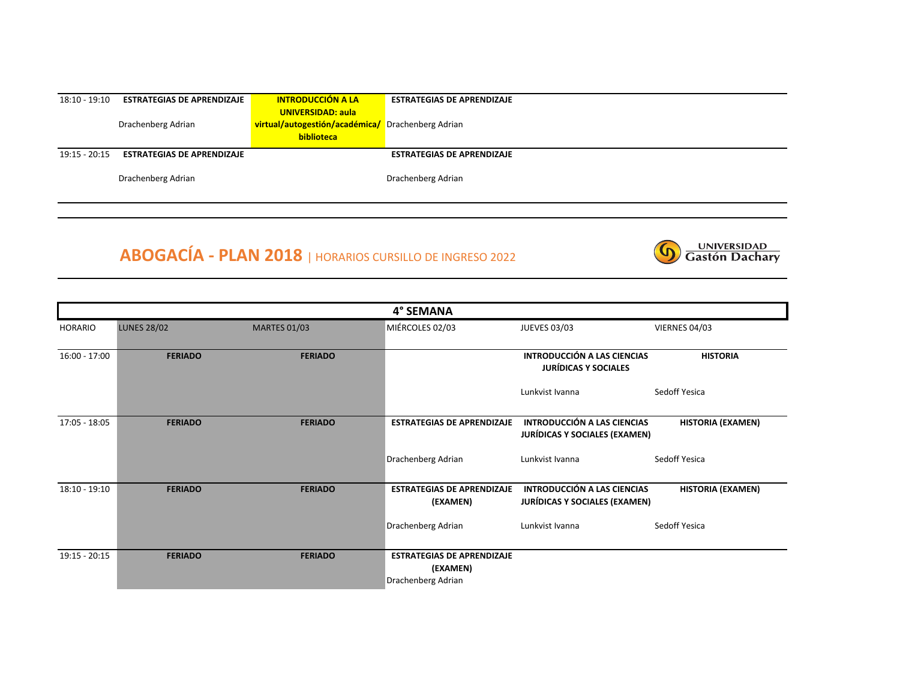| $18:10 - 19:10$ | <b>ESTRATEGIAS DE APRENDIZAJE</b> | <b>INTRODUCCIÓN A LA</b>                          | <b>ESTRATEGIAS DE APRENDIZAJE</b> |
|-----------------|-----------------------------------|---------------------------------------------------|-----------------------------------|
|                 |                                   | <b>UNIVERSIDAD: aula</b>                          |                                   |
|                 | Drachenberg Adrian                | virtual/autogestión/académica/ Drachenberg Adrian |                                   |
|                 |                                   | <b>biblioteca</b>                                 |                                   |
| $19:15 - 20:15$ | <b>ESTRATEGIAS DE APRENDIZAJE</b> |                                                   | <b>ESTRATEGIAS DE APRENDIZAJE</b> |
|                 |                                   |                                                   |                                   |
|                 | Drachenberg Adrian                |                                                   | Drachenberg Adrian                |
|                 |                                   |                                                   |                                   |

UNIVERSIDAD<br>Gastón Dachary

 $\Omega$ 

## **ABOGACÍA - PLAN 2018** | HORARIOS CURSILLO DE INGRESO 2022

|                 |                    |                     | 4° SEMANA                                                           |                                                                     |                          |
|-----------------|--------------------|---------------------|---------------------------------------------------------------------|---------------------------------------------------------------------|--------------------------|
| <b>HORARIO</b>  | <b>LUNES 28/02</b> | <b>MARTES 01/03</b> | MIÉRCOLES 02/03                                                     | <b>JUEVES 03/03</b>                                                 | VIERNES 04/03            |
| $16:00 - 17:00$ | <b>FERIADO</b>     | <b>FERIADO</b>      |                                                                     | <b>INTRODUCCIÓN A LAS CIENCIAS</b><br><b>JURÍDICAS Y SOCIALES</b>   | <b>HISTORIA</b>          |
|                 |                    |                     |                                                                     | Lunkvist Ivanna                                                     | Sedoff Yesica            |
| $17:05 - 18:05$ | <b>FERIADO</b>     | <b>FERIADO</b>      | <b>ESTRATEGIAS DE APRENDIZAJE</b>                                   | INTRODUCCIÓN A LAS CIENCIAS<br><b>JURÍDICAS Y SOCIALES (EXAMEN)</b> | <b>HISTORIA (EXAMEN)</b> |
|                 |                    |                     | Drachenberg Adrian                                                  | Lunkvist Ivanna                                                     | Sedoff Yesica            |
| $18:10 - 19:10$ | <b>FERIADO</b>     | <b>FERIADO</b>      | <b>ESTRATEGIAS DE APRENDIZAJE</b><br>(EXAMEN)                       | INTRODUCCIÓN A LAS CIENCIAS<br><b>JURÍDICAS Y SOCIALES (EXAMEN)</b> | <b>HISTORIA (EXAMEN)</b> |
|                 |                    |                     | Drachenberg Adrian                                                  | Lunkvist Ivanna                                                     | Sedoff Yesica            |
| $19:15 - 20:15$ | <b>FERIADO</b>     | <b>FERIADO</b>      | <b>ESTRATEGIAS DE APRENDIZAJE</b><br>(EXAMEN)<br>Drachenberg Adrian |                                                                     |                          |